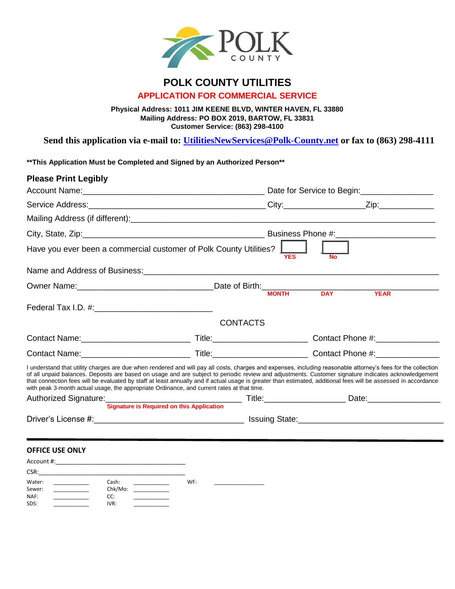

## **POLK COUNTY UTILITIES APPLICATION FOR COMMERCIAL SERVICE**

**Physical Address: 1011 JIM KEENE BLVD, WINTER HAVEN, FL 33880 Mailing Address: PO BOX 2019, BARTOW, FL 33831 Customer Service: (863) 298-4100** 

**Send this application via e-mail to: [UtilitiesNewServices@Polk-County.net](mailto:UtilitiesNewServices@Polk-County.net) or fax to (863) 298-4111**

**\*\*This Application Must be Completed and Signed by an Authorized Person\*\***

| <b>Please Print Legibly</b>                                                                                                                                                                                                                                                                                                                                                                                                                                                                                                                                                            |                 |            |           |  |
|----------------------------------------------------------------------------------------------------------------------------------------------------------------------------------------------------------------------------------------------------------------------------------------------------------------------------------------------------------------------------------------------------------------------------------------------------------------------------------------------------------------------------------------------------------------------------------------|-----------------|------------|-----------|--|
|                                                                                                                                                                                                                                                                                                                                                                                                                                                                                                                                                                                        |                 |            |           |  |
|                                                                                                                                                                                                                                                                                                                                                                                                                                                                                                                                                                                        |                 |            |           |  |
|                                                                                                                                                                                                                                                                                                                                                                                                                                                                                                                                                                                        |                 |            |           |  |
|                                                                                                                                                                                                                                                                                                                                                                                                                                                                                                                                                                                        |                 |            |           |  |
| Have you ever been a commercial customer of Polk County Utilities?                                                                                                                                                                                                                                                                                                                                                                                                                                                                                                                     |                 | <b>YES</b> | <b>No</b> |  |
|                                                                                                                                                                                                                                                                                                                                                                                                                                                                                                                                                                                        |                 |            |           |  |
|                                                                                                                                                                                                                                                                                                                                                                                                                                                                                                                                                                                        |                 |            |           |  |
|                                                                                                                                                                                                                                                                                                                                                                                                                                                                                                                                                                                        |                 |            |           |  |
|                                                                                                                                                                                                                                                                                                                                                                                                                                                                                                                                                                                        |                 |            |           |  |
|                                                                                                                                                                                                                                                                                                                                                                                                                                                                                                                                                                                        | <b>CONTACTS</b> |            |           |  |
|                                                                                                                                                                                                                                                                                                                                                                                                                                                                                                                                                                                        |                 |            |           |  |
|                                                                                                                                                                                                                                                                                                                                                                                                                                                                                                                                                                                        |                 |            |           |  |
| I understand that utility charges are due when rendered and will pay all costs, charges and expenses, including reasonable attorney's fees for the collection<br>of all unpaid balances. Deposits are based on usage and are subject to periodic review and adjustments. Customer signature indicates acknowledgement<br>that connection fees will be evaluated by staff at least annually and if actual usage is greater than estimated, additional fees will be assessed in accordance<br>with peak 3-month actual usage, the appropriate Ordinance, and current rates at that time. |                 |            |           |  |
|                                                                                                                                                                                                                                                                                                                                                                                                                                                                                                                                                                                        |                 |            |           |  |
| <b>Signature is Required on this Application</b>                                                                                                                                                                                                                                                                                                                                                                                                                                                                                                                                       |                 |            |           |  |
|                                                                                                                                                                                                                                                                                                                                                                                                                                                                                                                                                                                        |                 |            |           |  |
|                                                                                                                                                                                                                                                                                                                                                                                                                                                                                                                                                                                        |                 |            |           |  |

## **OFFICE USE ONLY**

| Account #:                       |                                 |     |  |
|----------------------------------|---------------------------------|-----|--|
| CSR:                             |                                 |     |  |
| Water:<br>Sewer:<br>NAF:<br>SDS: | Cash:<br>Chk/Mo:<br>CC:<br>IVR: | WF: |  |